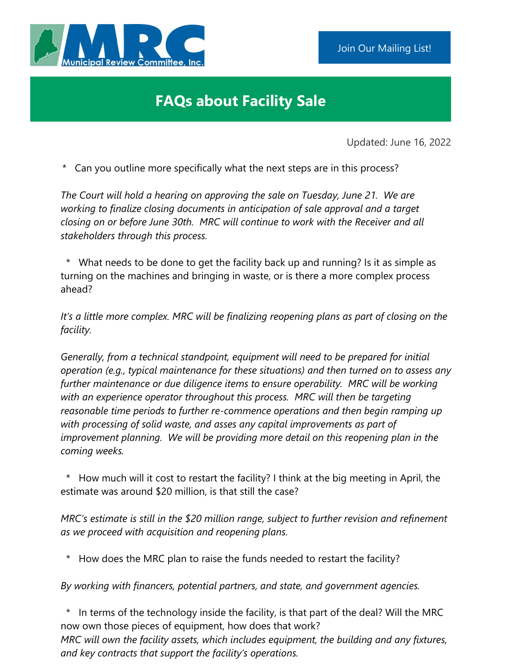## **FAQs about Facility Sale**

Updated: June 16, 2022

\* Can you outline more specifically what the next steps are in this process?

*The Court will hold a hearing on approving the sale on Tuesday, June 21. We are working to finalize closing documents in anticipation of sale approval and a target closing on or before June 30th. MRC will continue to work with the Receiver and all stakeholders through this process.*

\* What needs to be done to get the facility back up and running? Is it as simple as turning on the machines and bringing in waste, or is there a more complex process ahead?

*It's a little more complex. MRC will be finalizing reopening plans as part of closing on the facility.* 

*Generally, from a technical standpoint, equipment will need to be prepared for initial operation (e.g., typical maintenance for these situations) and then turned on to assess any further maintenance or due diligence items to ensure operability. MRC will be working with an experience operator throughout this process. MRC will then be targeting reasonable time periods to further re-commence operations and then begin ramping up with processing of solid waste, and asses any capital improvements as part of improvement planning. We will be providing more detail on this reopening plan in the coming weeks.*

\* How much will it cost to restart the facility? I think at the big meeting in April, the estimate was around \$20 million, is that still the case?

*MRC's estimate is still in the \$20 million range, subject to further revision and refinement as we proceed with acquisition and reopening plans.*

How does the MRC plan to raise the funds needed to restart the facility?

*By working with financers, potential partners, and state, and government agencies.*

In terms of the technology inside the facility, is that part of the deal? Will the MRC now own those pieces of equipment, how does that work?

*MRC will own the facility assets, which includes equipment, the building and any fixtures, and key contracts that support the facility's operations.*